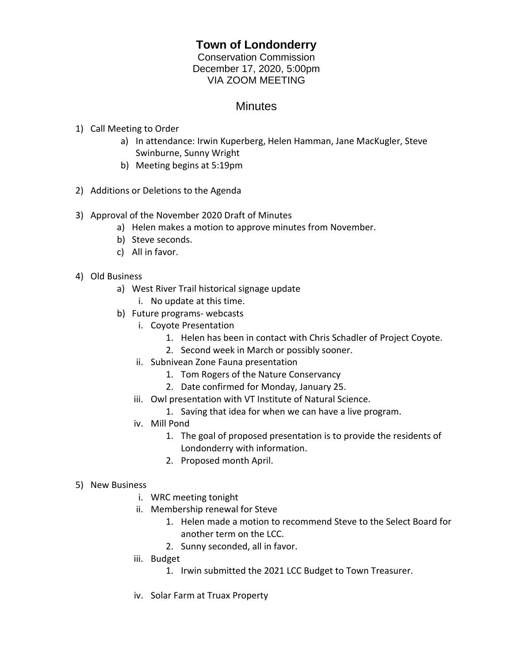## **Town of Londonderry**

Conservation Commission December 17, 2020, 5:00pm VIA ZOOM MEETING

## **Minutes**

- 1) Call Meeting to Order
	- a) In attendance: Irwin Kuperberg, Helen Hamman, Jane MacKugler, Steve Swinburne, Sunny Wright
	- b) Meeting begins at 5:19pm
- 2) Additions or Deletions to the Agenda
- 3) Approval of the November 2020 Draft of Minutes
	- a) Helen makes a motion to approve minutes from November.
	- b) Steve seconds.
	- c) All in favor.
- 4) Old Business
	- a) West River Trail historical signage update
		- i. No update at this time.
	- b) Future programs- webcasts
		- i. Coyote Presentation
			- 1. Helen has been in contact with Chris Schadler of Project Coyote.
			- 2. Second week in March or possibly sooner.
		- ii. Subnivean Zone Fauna presentation
			- 1. Tom Rogers of the Nature Conservancy
			- 2. Date confirmed for Monday, January 25.
		- iii. Owl presentation with VT Institute of Natural Science.
			- 1. Saving that idea for when we can have a live program.
		- iv. Mill Pond
			- 1. The goal of proposed presentation is to provide the residents of Londonderry with information.
			- 2. Proposed month April.
- 5) New Business
	- i. WRC meeting tonight
	- ii. Membership renewal for Steve
		- 1. Helen made a motion to recommend Steve to the Select Board for another term on the LCC.
		- 2. Sunny seconded, all in favor.
	- iii. Budget
		- 1. Irwin submitted the 2021 LCC Budget to Town Treasurer.
	- iv. Solar Farm at Truax Property